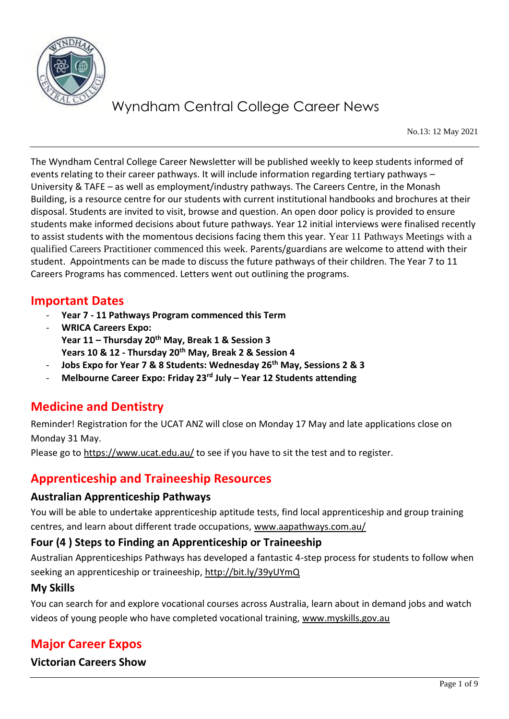

No.13: 12 May 2021

The Wyndham Central College Career Newsletter will be published weekly to keep students informed of events relating to their career pathways. It will include information regarding tertiary pathways – University & TAFE – as well as employment/industry pathways. The Careers Centre, in the Monash Building, is a resource centre for our students with current institutional handbooks and brochures at their disposal. Students are invited to visit, browse and question. An open door policy is provided to ensure students make informed decisions about future pathways. Year 12 initial interviews were finalised recently to assist students with the momentous decisions facing them this year. Year 11 Pathways Meetings with a qualified Careers Practitioner commenced this week. Parents/guardians are welcome to attend with their student. Appointments can be made to discuss the future pathways of their children. The Year 7 to 11 Careers Programs has commenced. Letters went out outlining the programs.

## **Important Dates**

- **Year 7 - 11 Pathways Program commenced this Term**
- **WRICA Careers Expo: Year 11 – Thursday 20th May, Break 1 & Session 3 Years 10 & 12 - Thursday 20th May, Break 2 & Session 4**
- **Jobs Expo for Year 7 & 8 Students: Wednesday 26th May, Sessions 2 & 3**
- **Melbourne Career Expo: Friday 23rd July – Year 12 Students attending**

## **Medicine and Dentistry**

Reminder! Registration for the UCAT ANZ will close on Monday 17 May and late applications close on Monday 31 May.

Please go to <https://www.ucat.edu.au/> to see if you have to sit the test and to register.

## **Apprenticeship and Traineeship Resources**

#### **Australian Apprenticeship Pathways**

You will be able to undertake apprenticeship aptitude tests, find local apprenticeship and group training centres, and learn about different trade occupations, [www.aapathways.com.au/](http://www.aapathways.com.au/)

#### **Four (4 ) Steps to Finding an Apprenticeship or Traineeship**

Australian Apprenticeships Pathways has developed a fantastic 4-step process for students to follow when seeking an apprenticeship or traineeship,<http://bit.ly/39yUYmQ>

#### **My Skills**

You can search for and explore vocational courses across Australia, learn about in demand jobs and watch videos of young people who have completed vocational training, [www.myskills.gov.au](http://www.myskills.gov.au/)

## **Major Career Expos**

**Victorian Careers Show**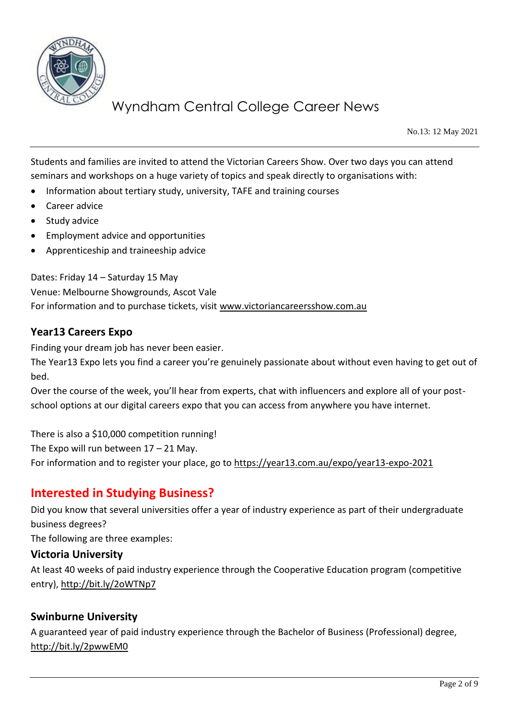

No.13: 12 May 2021

Students and families are invited to attend the Victorian Careers Show. Over two days you can attend seminars and workshops on a huge variety of topics and speak directly to organisations with:

- Information about tertiary study, university, TAFE and training courses
- Career advice
- Study advice
- Employment advice and opportunities
- Apprenticeship and traineeship advice

Dates: Friday 14 – Saturday 15 May Venue: Melbourne Showgrounds, Ascot Vale For information and to purchase tickets, visit [www.victoriancareersshow.com.au](http://www.victoriancareersshow.com.au/)

#### **Year13 Careers Expo**

Finding your dream job has never been easier.

The Year13 Expo lets you find a career you're genuinely passionate about without even having to get out of bed.

Over the course of the week, you'll hear from experts, chat with influencers and explore all of your postschool options at our digital careers expo that you can access from anywhere you have internet.

There is also a \$10,000 competition running!

The Expo will run between 17 – 21 May.

For information and to register your place, go to<https://year13.com.au/expo/year13-expo-2021>

## **Interested in Studying Business?**

Did you know that several universities offer a year of industry experience as part of their undergraduate business degrees?

The following are three examples:

#### **Victoria University**

At least 40 weeks of paid industry experience through the Cooperative Education program (competitive entry),<http://bit.ly/2oWTNp7>

#### **Swinburne University**

A guaranteed year of paid industry experience through the Bachelor of Business (Professional) degree, <http://bit.ly/2pwwEM0>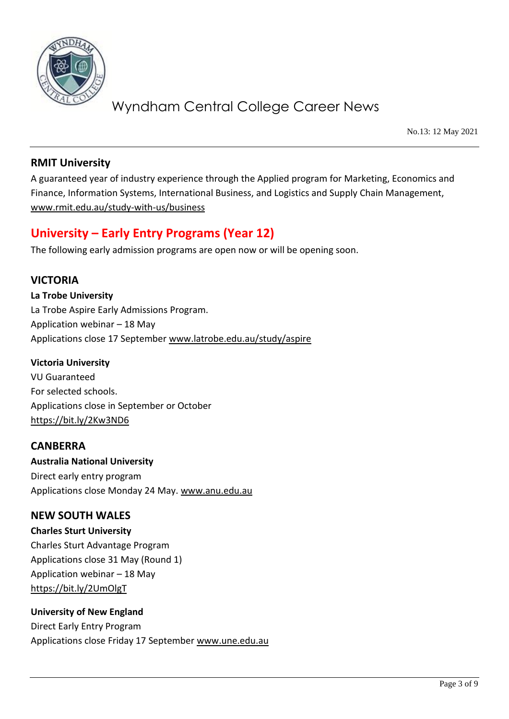

No.13: 12 May 2021

### **RMIT University**

A guaranteed year of industry experience through the Applied program for Marketing, Economics and Finance, Information Systems, International Business, and Logistics and Supply Chain Management, [www.rmit.edu.au/study-with-us/business](http://www.rmit.edu.au/study-with-us/business)

## **University – Early Entry Programs (Year 12)**

The following early admission programs are open now or will be opening soon.

### **VICTORIA**

**La Trobe University**  La Trobe Aspire Early Admissions Program. Application webinar – 18 May Applications close 17 September [www.latrobe.edu.au/study/aspire](http://www.latrobe.edu.au/study/aspire)

#### **Victoria University**

VU Guaranteed For selected schools. Applications close in September or October <https://bit.ly/2Kw3ND6>

#### **CANBERRA**

**Australia National University**  Direct early entry program Applications close Monday 24 May. [www.anu.edu.au](http://www.anu.edu.au/) 

#### **NEW SOUTH WALES**

**Charles Sturt University**  Charles Sturt Advantage Program Applications close 31 May (Round 1) Application webinar – 18 May <https://bit.ly/2UmOlgT>

**University of New England** Direct Early Entry Program Applications close Friday 17 September [www.une.edu.au](http://www.une.edu.au/)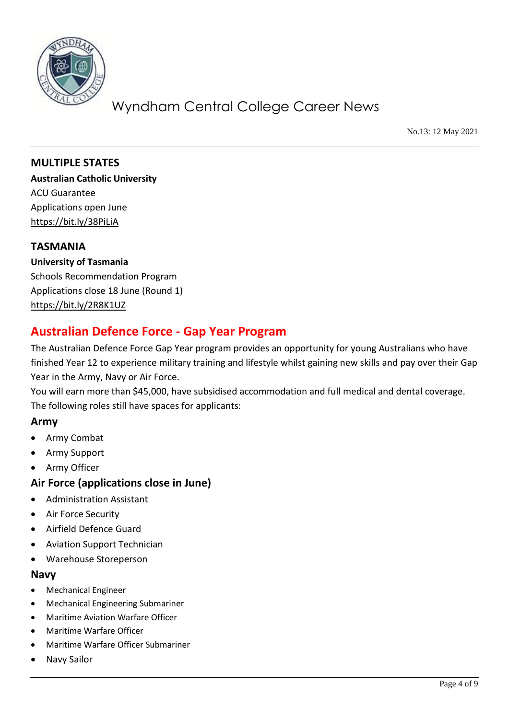

No.13: 12 May 2021

**MULTIPLE STATES Australian Catholic University** ACU Guarantee Applications open June <https://bit.ly/38PiLiA>

#### **TASMANIA**

**University of Tasmania** Schools Recommendation Program Applications close 18 June (Round 1) <https://bit.ly/2R8K1UZ>

## **Australian Defence Force - Gap Year Program**

The Australian Defence Force Gap Year program provides an opportunity for young Australians who have finished Year 12 to experience military training and lifestyle whilst gaining new skills and pay over their Gap Year in the Army, Navy or Air Force.

You will earn more than \$45,000, have subsidised accommodation and full medical and dental coverage. The following roles still have spaces for applicants:

#### **Army**

- Army Combat
- Army Support
- Army Officer

#### **Air Force (applications close in June)**

- Administration Assistant
- Air Force Security
- Airfield Defence Guard
- Aviation Support Technician
- Warehouse Storeperson

#### **Navy**

- Mechanical Engineer
- Mechanical Engineering Submariner
- Maritime Aviation Warfare Officer
- Maritime Warfare Officer
- Maritime Warfare Officer Submariner
- Navy Sailor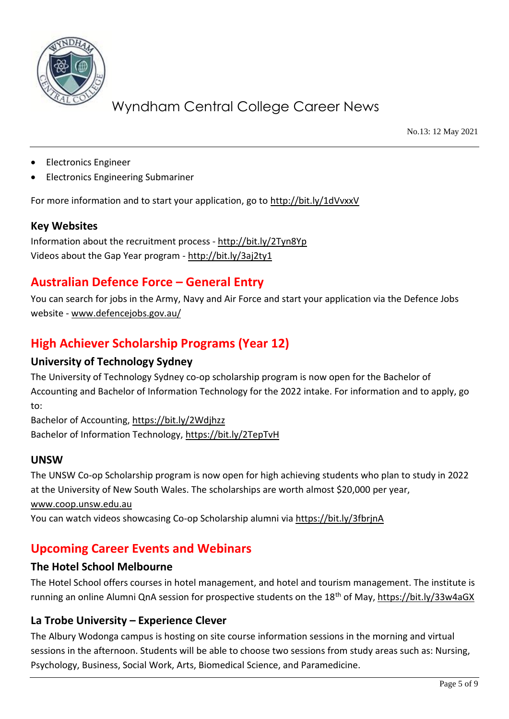

No.13: 12 May 2021

- Electronics Engineer
- Electronics Engineering Submariner

For more information and to start your application, go to<http://bit.ly/1dVvxxV>

#### **Key Websites**

Information about the recruitment process - <http://bit.ly/2Tyn8Yp> Videos about the Gap Year program - <http://bit.ly/3aj2ty1>

## **Australian Defence Force – General Entry**

You can search for jobs in the Army, Navy and Air Force and start your application via the Defence Jobs website - [www.defencejobs.gov.au/](http://www.defencejobs.gov.au/)

## **High Achiever Scholarship Programs (Year 12)**

### **University of Technology Sydney**

The University of Technology Sydney co-op scholarship program is now open for the Bachelor of Accounting and Bachelor of Information Technology for the 2022 intake. For information and to apply, go to:

Bachelor of Accounting,<https://bit.ly/2Wdjhzz> Bachelor of Information Technology,<https://bit.ly/2TepTvH>

#### **UNSW**

The UNSW Co-op Scholarship program is now open for high achieving students who plan to study in 2022 at the University of New South Wales. The scholarships are worth almost \$20,000 per year,

[www.coop.unsw.edu.au](http://www.coop.unsw.edu.au/)

You can watch videos showcasing Co-op Scholarship alumni vi[a https://bit.ly/3fbrjnA](https://bit.ly/3fbrjnA) 

## **Upcoming Career Events and Webinars**

#### **The Hotel School Melbourne**

The Hotel School offers courses in hotel management, and hotel and tourism management. The institute is running an online Alumni QnA session for prospective students on the 18th of May[, https://bit.ly/33w4aGX](https://bit.ly/33w4aGX)

#### **La Trobe University – Experience Clever**

The Albury Wodonga campus is hosting on site course information sessions in the morning and virtual sessions in the afternoon. Students will be able to choose two sessions from study areas such as: Nursing, Psychology, Business, Social Work, Arts, Biomedical Science, and Paramedicine.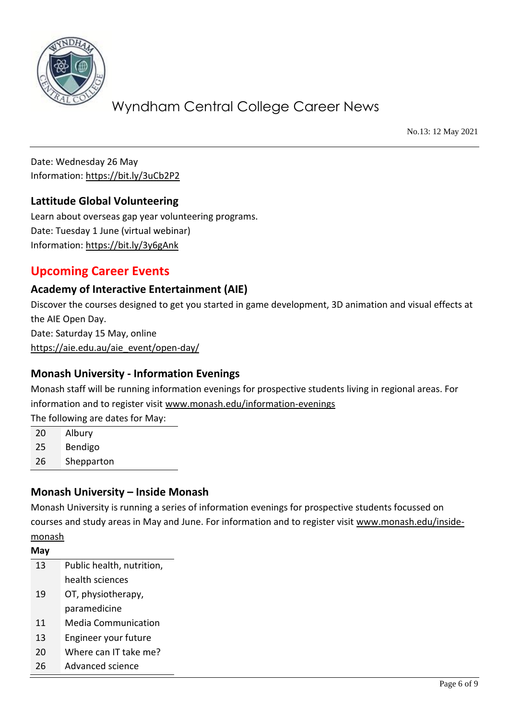

No.13: 12 May 2021

Date: Wednesday 26 May Information:<https://bit.ly/3uCb2P2>

### **Lattitude Global Volunteering**

Learn about overseas gap year volunteering programs. Date: Tuesday 1 June (virtual webinar) Information:<https://bit.ly/3y6gAnk>

## **Upcoming Career Events**

### **Academy of Interactive Entertainment (AIE)**

Discover the courses designed to get you started in game development, 3D animation and visual effects at the AIE Open Day. Date: Saturday 15 May, online [https://aie.edu.au/aie\\_event/open-day/](https://aie.edu.au/aie_event/open-day/)

### **Monash University - Information Evenings**

Monash staff will be running information evenings for prospective students living in regional areas. For information and to register visit [www.monash.edu/information-evenings](http://www.monash.edu/information-evenings)

The following are dates for May:

| 20 | Albury     |
|----|------------|
| วะ | $D \cap A$ |

25 Bendigo

26 Shepparton

### **Monash University – Inside Monash**

Monash University is running a series of information evenings for prospective students focussed on courses and study areas in May and June. For information and to register visit [www.monash.edu/inside](http://www.monash.edu/inside-monash)[monash](http://www.monash.edu/inside-monash)

**May** 13 Public health, nutrition, health sciences 19 OT, physiotherapy, paramedicine 11 Media Communication 13 Engineer your future 20 Where can IT take me? 26 Advanced science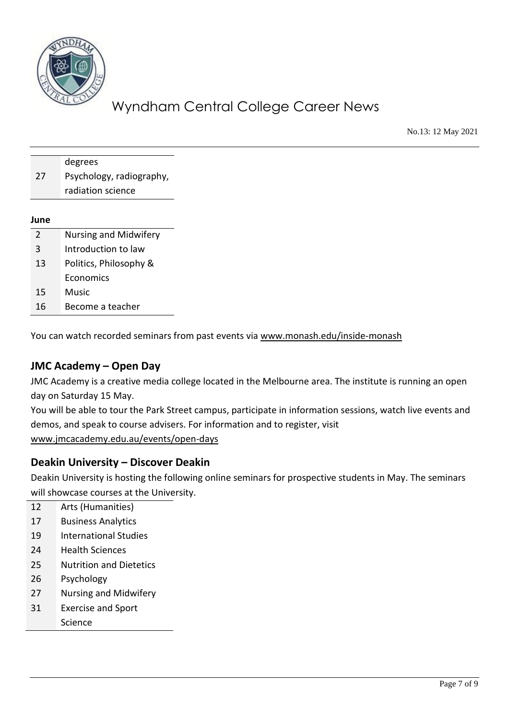

No.13: 12 May 2021

|    | degrees                  |
|----|--------------------------|
| 27 | Psychology, radiography, |
|    | radiation science        |
|    |                          |

#### **June**

| $\mathcal{L}$ | Nursing and Midwifery  |
|---------------|------------------------|
| 3             | Introduction to law    |
| 13            | Politics, Philosophy & |
|               | Economics              |
| 15            | Music                  |
| 16            | Become a teacher       |

You can watch recorded seminars from past events via [www.monash.edu/inside-monash](http://www.monash.edu/inside-monash)

#### **JMC Academy – Open Day**

JMC Academy is a creative media college located in the Melbourne area. The institute is running an open day on Saturday 15 May.

You will be able to tour the Park Street campus, participate in information sessions, watch live events and demos, and speak to course advisers. For information and to register, visit [www.jmcacademy.edu.au/events/open-days](http://www.jmcacademy.edu.au/events/open-days)

#### **Deakin University – Discover Deakin**

Deakin University is hosting the following online seminars for prospective students in May. The seminars will showcase courses at the University.

- 12 Arts (Humanities)
- 17 Business Analytics
- 19 International Studies
- 24 Health Sciences
- 25 Nutrition and Dietetics
- 26 Psychology
- 27 Nursing and Midwifery
- 31 Exercise and Sport
- Science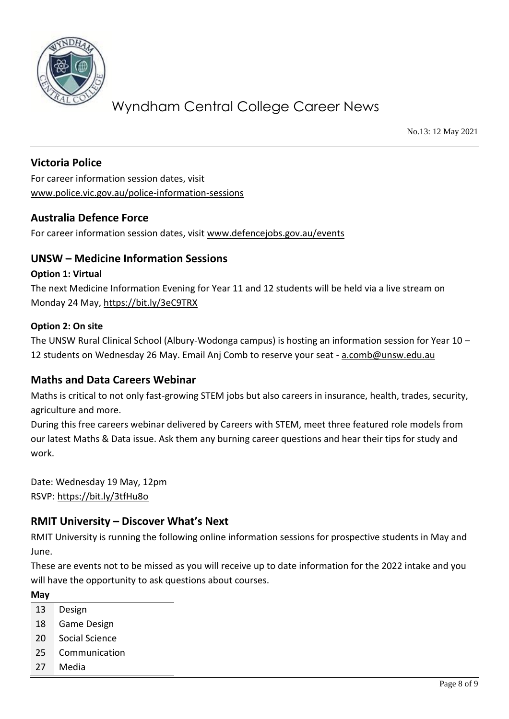

No.13: 12 May 2021

### **Victoria Police**

For career information session dates, visit [www.police.vic.gov.au/police-information-sessions](http://www.police.vic.gov.au/police-information-sessions)

### **Australia Defence Force**

For career information session dates, visit [www.defencejobs.gov.au/events](http://www.defencejobs.gov.au/events)

#### **UNSW – Medicine Information Sessions**

#### **Option 1: Virtual**

The next Medicine Information Evening for Year 11 and 12 students will be held via a live stream on Monday 24 May,<https://bit.ly/3eC9TRX>

#### **Option 2: On site**

The UNSW Rural Clinical School (Albury-Wodonga campus) is hosting an information session for Year 10 – 12 students on Wednesday 26 May. Email Anj Comb to reserve your seat - [a.comb@unsw.edu.au](mailto:a.comb@unsw.edu.au)

#### **Maths and Data Careers Webinar**

Maths is critical to not only fast-growing STEM jobs but also careers in insurance, health, trades, security, agriculture and more.

During this free careers webinar delivered by Careers with STEM, meet three featured role models from our latest Maths & Data issue. Ask them any burning career questions and hear their tips for study and work.

Date: Wednesday 19 May, 12pm RSVP:<https://bit.ly/3tfHu8o>

#### **RMIT University – Discover What's Next**

RMIT University is running the following online information sessions for prospective students in May and June.

These are events not to be missed as you will receive up to date information for the 2022 intake and you will have the opportunity to ask questions about courses.

**May**

- 13 Design
- 18 Game Design
- 20 Social Science
- 25 Communication
- 27 Media